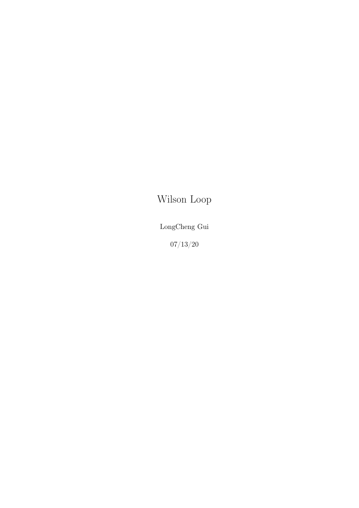# Wilson Loop

LongCheng Gui

 $07/13/20$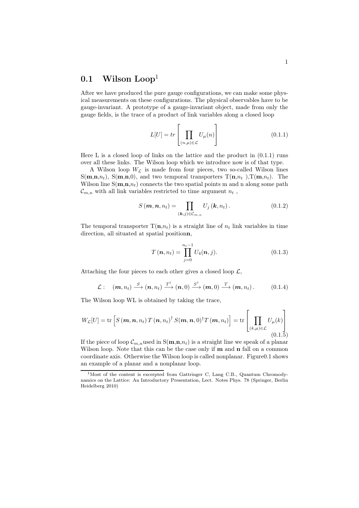## 0.1 Wilson Loop<sup>1</sup>

After we have produced the pure gauge configurations, we can make some physical measurements on these configurations. The physical observables have to be gauge-invariant. A prototype of a gauge-invariant object, made from only the gauge fields, is the trace of a product of link variables along a closed loop

$$
L[U] = tr\left[\prod_{(n,\mu)\in\mathcal{L}} U_{\mu}(n)\right]
$$
\n(0.1.1)

Here  $L$  is a closed loop of links on the lattice and the product in  $(0.1.1)$  runs over all these links. The Wilson loop which we introduce now is of that type.

A Wilson loop  $W_{\mathcal{L}}$  is made from four pieces, two so-called Wilson lines  $S(m,n,n_t)$ ,  $S(m,n,0)$ , and two temporal transporters  $T(n,n_t)$ ,  $T(m,n_t)$ . The Wilson line  $S(m,n,n_t)$  connects the two spatial points m and n along some path  $\mathcal{C}_{m,n}$  with all link variables restricted to time argument  $n_t$ ,

$$
S\left(\boldsymbol{m},\boldsymbol{n},n_t\right) = \prod_{\left(\boldsymbol{k},j\right) \in \mathcal{C}_{m,n}} U_j\left(\boldsymbol{k},n_t\right). \tag{0.1.2}
$$

The temporal transporter  $T(n,n_t)$  is a straight line of  $n_t$  link variables in time direction, all situated at spatial positionn,

$$
T(\boldsymbol{n}, n_t) = \prod_{j=0}^{n_t - 1} U_4(\boldsymbol{n}, j).
$$
 (0.1.3)

Attaching the four pieces to each other gives a closed loop  $\mathcal{L}$ ,

$$
\mathcal{L}: \quad (\mathbf{m}, n_t) \stackrel{S}{\longrightarrow} (\mathbf{n}, n_t) \stackrel{T^{\dagger}}{\longrightarrow} (\mathbf{n}, 0) \stackrel{S^{\dagger}}{\longrightarrow} (\mathbf{m}, 0) \stackrel{T}{\longrightarrow} (\mathbf{m}, n_t).
$$
 (0.1.4)

The Wilson loop WL is obtained by taking the trace,

$$
W_{\mathcal{L}}[U] = \text{tr}\left[S\left(\boldsymbol{m}, \boldsymbol{n}, n_t\right) T\left(\boldsymbol{n}, n_t\right)^{\dagger} S(\boldsymbol{m}, \boldsymbol{n}, 0)^{\dagger} T\left(\boldsymbol{m}, n_t\right)\right] = \text{tr}\left[\prod_{(k,\mu)\in\mathcal{L}} U_{\mu}(k)\right]
$$
\n(0.1.5)

If the piece of loop  $\mathcal{C}_{m,n}$ used in  $S(m,n,n_t)$  is a straight line we speak of a planar Wilson loop. Note that this can be the case only if **m** and **n** fall on a common coordinate axis. Otherwise the Wilson loop is called nonplanar. Figure0.1 shows an example of a planar and a nonplanar loop.

<sup>1</sup>Most of the content is excerpted from Gattringer C, Lang C.B., Quantum Chromodynamics on the Lattice: An Introductory Presentation, Lect. Notes Phys. 78 (Springer, Berlin Heidelberg 2010)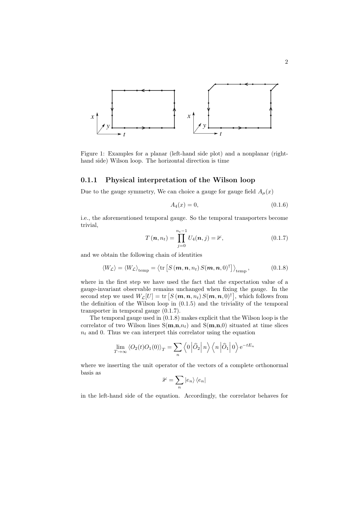

Figure 1: Examples for a planar (left-hand side plot) and a nonplanar (righthand side) Wilson loop. The horizontal direction is time

#### 0.1.1 Physical interpretation of the Wilson loop

Due to the gauge symmetry, We can choice a gauge for gauge field  $A_\mu(x)$ 

$$
A_4(x) = 0,\t(0.1.6)
$$

i.e., the aforementioned temporal gauge. So the temporal transporters become trivial,

$$
T(\boldsymbol{n}, n_t) = \prod_{j=0}^{n_t - 1} U_4(\boldsymbol{n}, j) = \mathcal{V}, \qquad (0.1.7)
$$

and we obtain the following chain of identities

$$
\langle W_{\mathcal{L}} \rangle = \langle W_{\mathcal{L}} \rangle_{\text{temp}} = \langle \text{tr} \left[ S(m, n, n_t) \, S(m, n, 0)^{\dagger} \right] \rangle_{\text{temp}}, \tag{0.1.8}
$$

where in the first step we have used the fact that the expectation value of a gauge-invariant observable remains unchanged when fixing the gauge. In the second step we used  $W_{\mathcal{L}}[U] = \text{tr} \left[ S(m, n, n_t) S(m, n, 0)^\dagger \right]$ , which follows from the definition of the Wilson loop in (0.1.5) and the triviality of the temporal transporter in temporal gauge (0.1.7).

The temporal gauge used in (0.1.8) makes explicit that the Wilson loop is the correlator of two Wilson lines  $S(m,n,n_t)$  and  $S(m,n,0)$  situated at time slices  $n_t$  and 0. Thus we can interpret this correlator using the equation

$$
\lim_{T \to \infty} \langle O_2(t) O_1(0) \rangle_T = \sum_n \langle 0 | \hat{O}_2 | n \rangle \langle n | \hat{O}_1 | 0 \rangle e^{-tE_n}
$$

where we inserting the unit operator of the vectors of a complete orthonormal basis as

$$
\mathbb{K}=\sum_n\left|e_n\right\rangle\left\langle e_n\right|
$$

in the left-hand side of the equation. Accordingly, the correlator behaves for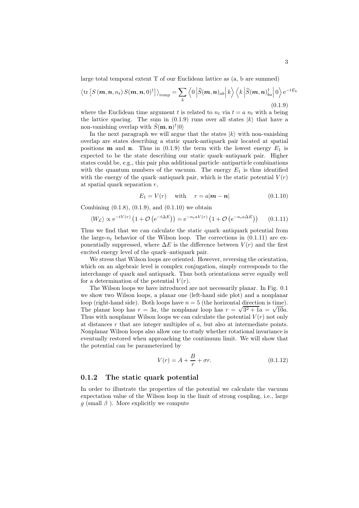large total temporal extent T of our Euclidean lattice as (a, b are summed)

$$
\langle \operatorname{tr} \left[ S(m, n, n_t) \, S(m, n, 0)^{\dagger} \right] \rangle_{\text{temp}} = \sum_{k} \left\langle 0 \left| \widehat{S}(m, n)_{ab} \right| k \right\rangle \left\langle k \left| \widehat{S}(m, n)_{ba}^{\dagger} \right| 0 \right\rangle e^{-tE_k}
$$
\n(0.1.9)

where the Euclidean time argument t is related to  $n_t$  via  $t = a n_t$  with a being the lattice spacing. The sum in (0.1.9) runs over all states  $|k\rangle$  that have a non-vanishing overlap with  $\hat{S}(\mathbf{m}, \mathbf{n})^{\dagger} |0\rangle$ 

In the next paragraph we will argue that the states  $|k\rangle$  with non-vanishing overlap are states describing a static quark-antiquark pair located at spatial positions **m** and **n**. Thus in (0.1.9) the term with the lowest energy  $E_1$  is expected to be the state describing our static quark–antiquark pair. Higher states could be, e.g., this pair plus additional particle–antiparticle combinations with the quantum numbers of the vacuum. The energy  $E_1$  is thus identified with the energy of the quark–antiquark pair, which is the static potential  $V(r)$ at spatial quark separation  $r$ ,

$$
E_1 = V(r) \quad \text{with} \quad r = a|\mathbf{m} - \mathbf{n}| \tag{0.1.10}
$$

Combining  $(0.1.8)$ ,  $(0.1.9)$ , and  $(0.1.10)$  we obtain

$$
\langle W_{\mathcal{L}} \rangle \propto e^{-tV(r)} \left( 1 + \mathcal{O} \left( e^{-t\Delta E} \right) \right) = e^{-n_t aV(r)} \left( 1 + \mathcal{O} \left( e^{-n_t a \Delta E} \right) \right) \tag{0.1.11}
$$

Thus we find that we can calculate the static quark–antiquark potential from the large- $n_t$  behavior of the Wilson loop. The corrections in  $(0.1.11)$  are exponentially suppressed, where  $\Delta E$  is the difference between  $V(r)$  and the first excited energy level of the quark–antiquark pair.

We stress that Wilson loops are oriented. However, reversing the orientation, which on an algebraic level is complex conjugation, simply corresponds to the interchange of quark and antiquark. Thus both orientations serve equally well for a determination of the potential  $V(r)$ .

The Wilson loops we have introduced are not necessarily planar. In Fig. 0.1 we show two Wilson loops, a planar one (left-hand side plot) and a nonplanar loop (right-hand side). Both loops have  $n = 5$  (the horizontal direction is time). The planar loop has  $r = 3a$ , the nonplanar loop has  $r = \sqrt{3^2 + 1}a = \sqrt{10}a$ . Thus with nonplanar Wilson loops we can calculate the potential  $V(r)$  not only at distances r that are integer multiples of a, but also at intermediate points. Nonplanar Wilson loops also allow one to study whether rotational invariance is eventually restored when approaching the continuum limit. We will show that the potential can be parameterized by

$$
V(r) = A + \frac{B}{r} + \sigma r.
$$
\n
$$
(0.1.12)
$$

#### 0.1.2 The static quark potential

In order to illustrate the properties of the potential we calculate the vacuum expectation value of the Wilson loop in the limit of strong coupling, i.e., large g (small  $\beta$ ). More explicitly we compute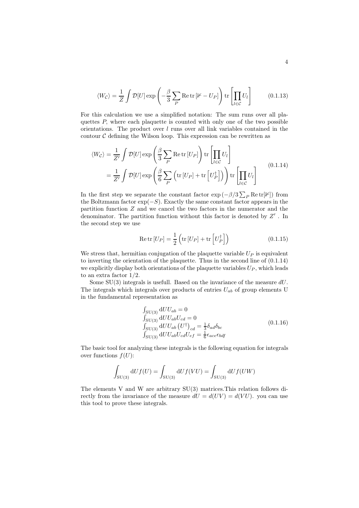$$
\langle W_{\mathcal{C}} \rangle = \frac{1}{Z} \int \mathcal{D}[U] \exp\left(-\frac{\beta}{3} \sum_{P} \text{Re} \operatorname{tr} \left[\mathbb{1} - U_{P}\right] \right) \operatorname{tr} \left[\prod_{l \in \mathcal{C}} U_{l}\right]
$$
(0.1.13)

For this calculation we use a simplified notation: The sum runs over all plaquettes  $P$ , where each plaquette is counted with only one of the two possible orientations. The product over  $l$  runs over all link variables contained in the contour  $\mathcal C$  defining the Wilson loop. This expression can be rewritten as

$$
\langle W_{\mathcal{C}} \rangle = \frac{1}{Z'} \int \mathcal{D}[U] \exp\left(\frac{\beta}{3} \sum_{P} \text{Re tr}[U_{P}] \right) \text{tr}\left[\prod_{l \in \mathcal{C}} U_{l}\right]
$$

$$
= \frac{1}{Z'} \int \mathcal{D}[U] \exp\left(\frac{\beta}{6} \sum_{P} \left(\text{tr}[U_{P}] + \text{tr}\left[U_{P}^{\dagger}\right]\right)\right) \text{tr}\left[\prod_{l \in \mathcal{C}} U_{l}\right]
$$
(0.1.14)

In the first step we separate the constant factor  $\exp(-\beta/3\sum_{P} \mathrm{Re}\,\mathrm{tr}[\mathbb{1}])$  from the Boltzmann factor  $\exp(-S)$ . Exactly the same constant factor appears in the partition function Z and we cancel the two factors in the numerator and the denominator. The partition function without this factor is denoted by  $Z'$  . In the second step we use

$$
\operatorname{Re}\operatorname{tr}\left[U_P\right] = \frac{1}{2}\left(\operatorname{tr}\left[U_P\right] + \operatorname{tr}\left[U_P^\dagger\right]\right) \tag{0.1.15}
$$

We stress that, hermitian conjugation of the plaquette variable  $U_P$  is equivalent to inverting the orientation of the plaquette. Thus in the second line of (0.1.14) we explicitly display both orientations of the plaquette variables  $U_P$ , which leads to an extra factor 1/2.

Some  $SU(3)$  integrals is usefull. Based on the invariance of the measure  $dU$ . The integrals which integrals over products of entries  $U_{ab}$  of group elements U in the fundamental representation as

$$
\int_{SU(3)} dU U_{ab} = 0
$$
\n
$$
\int_{SU(3)} dU U_{ab} U_{cd} = 0
$$
\n
$$
\int_{SU(3)} dU U_{ab} (U^{\dagger})_{cd} = \frac{1}{3} \delta_{ad} \delta_{bc}
$$
\n
$$
\int_{SU(3)} dU U_{ab} U_{cd} U_{ef} = \frac{1}{6} \epsilon_{ace} \epsilon_{bd}
$$
\n(0.1.16)

The basic tool for analyzing these integrals is the following equation for integrals over functions  $f(U)$ :

$$
\int_{\mathrm{SU}(3)} \mathrm{d} U f(U) = \int_{\mathrm{SU}(3)} \mathrm{d} U f(VU) = \int_{\mathrm{SU}(3)} \mathrm{d} U f(UW)
$$

The elements V and W are arbitrary SU(3) matrices.This relation follows directly from the invariance of the measure  $dU = d(UV) = d(VU)$ . you can use this tool to prove these integrals.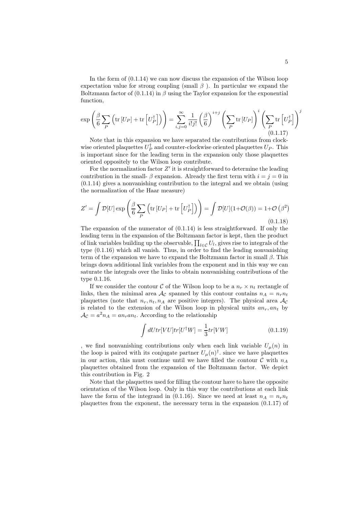In the form of (0.1.14) we can now discuss the expansion of the Wilson loop expectation value for strong coupling (small  $\beta$ ). In particular we expand the Boltzmann factor of  $(0.1.14)$  in  $\beta$  using the Taylor expansion for the exponential function,

$$
\exp\left(\frac{\beta}{6}\sum_{P}\left(\text{tr}\left[U_{P}\right]+\text{tr}\left[U_{P}^{\dagger}\right]\right)\right)=\sum_{i,j=0}^{\infty}\frac{1}{i!j!}\left(\frac{\beta}{6}\right)^{i+j}\left(\sum_{P}\text{tr}\left[U_{P}\right]\right)^{i}\left(\sum_{P}\text{tr}\left[U_{P}^{\dagger}\right]\right)^{j}
$$
\n(0.1.17)

Note that in this expansion we have separated the contributions from clockwise oriented plaquettes  $U_P^{\dagger}$  and counter-clockwise oriented plaquettes  $U_P$ . This is important since for the leading term in the expansion only those plaquettes oriented oppositely to the Wilson loop contribute.

For the normalization factor  $Z'$  it is straightforward to determine the leading contribution in the small-  $\beta$  expansion. Already the first term with  $i = j = 0$  in (0.1.14) gives a nonvanishing contribution to the integral and we obtain (using the normalization of the Haar measure)

$$
Z' = \int \mathcal{D}[U] \exp\left(\frac{\beta}{6} \sum_{P} \left( \text{tr}\left[U_{P}\right] + \text{tr}\left[U_{P}^{\dagger}\right] \right) \right) = \int \mathcal{D}[U](1 + \mathcal{O}(\beta)) = 1 + \mathcal{O}\left(\beta^{2}\right)
$$
\n(0.1.18)

The expansion of the numerator of (0.1.14) is less straightforward. If only the leading term in the expansion of the Boltzmann factor is kept, then the product of link variables building up the observable,  $\prod_{l \in \mathcal{C}} U_l$ , gives rise to integrals of the type (0.1.16) which all vanish. Thus, in order to find the leading nonvanishing term of the expansion we have to expand the Boltzmann factor in small  $\beta$ . This brings down additional link variables from the exponent and in this way we can saturate the integrals over the links to obtain nonvanishing contributions of the type 0.1.16.

If we consider the contour C of the Wilson loop to be a  $n_r \times n_t$  rectangle of links, then the minimal area  $A_c$  spanned by this contour contains  $n_A = n_r n_t$ plaquettes (note that  $n_r, n_t, n_A$  are positive integers). The physical area  $\mathcal{A}_{\mathcal{C}}$ is related to the extension of the Wilson loop in physical units  $an_r, an_t$  by  $\mathcal{A}_{\mathcal{C}} = a^2 n_A = a n_r a n_t$ . According to the relationship

$$
\int dU \, tr[VU] \, tr[U^{\dagger}W] = \frac{1}{3} \, tr[VW] \tag{0.1.19}
$$

, we find nonvanishing contributions only when each link variable  $U_{\mu}(n)$  in the loop is paired with its conjugate partner  $U_{\mu}(n)^{\dagger}$ , since we have plaquettes in our action, this must continue until we have filled the contour C with  $n_A$ plaquettes obtained from the expansion of the Boltzmann factor. We depict this contribution in Fig. 2

Note that the plaquettes used for filling the contour have to have the opposite orientation of the Wilson loop. Only in this way the contributions at each link have the form of the integrand in (0.1.16). Since we need at least  $n_A = n_r n_t$ plaquettes from the exponent, the necessary term in the expansion (0.1.17) of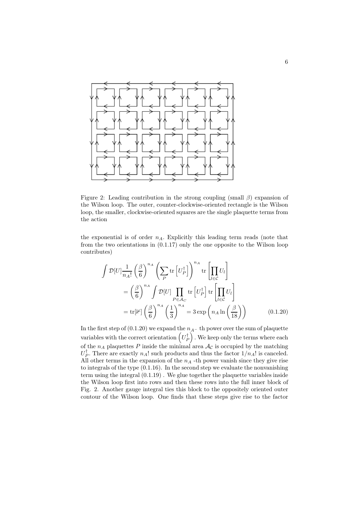

Figure 2: Leading contribution in the strong coupling (small  $\beta$ ) expansion of the Wilson loop. The outer, counter-clockwise-oriented rectangle is the Wilson loop, the smaller, clockwise-oriented squares are the single plaquette terms from the action

the exponential is of order  $n_A$ . Explicitly this leading term reads (note that from the two orientations in (0.1.17) only the one opposite to the Wilson loop contributes)

$$
\int \mathcal{D}[U] \frac{1}{n_A!} \left(\frac{\beta}{6}\right)^{n_A} \left(\sum_P \text{tr}\left[U_P^{\dagger}\right]\right)^{n_A} \text{tr}\left[\prod_{l \in C} U_l\right]
$$
\n
$$
= \left(\frac{\beta}{6}\right)^{n_A} \int \mathcal{D}[U] \prod_{P \in \mathcal{A}_C} \text{tr}\left[U_P^{\dagger}\right] \text{tr}\left[\prod_{l \in C} U_l\right]
$$
\n
$$
= \text{tr}[\mathbb{1}]\left(\frac{\beta}{6}\right)^{n_A} \left(\frac{1}{3}\right)^{n_A} = 3 \exp\left(n_A \ln\left(\frac{\beta}{18}\right)\right) \tag{0.1.20}
$$

In the first step of (0.1.20) we expand the  $n_{A-}$  th power over the sum of plaquette variables with the correct orientation  $(U_P^{\dagger})$  . We keep only the terms where each of the  $n_A$  plaquettes P inside the minimal area  $\mathcal{A}_{\mathcal{C}}$  is occupied by the matching  $U_P^{\dagger}$ . There are exactly  $n_A!$  such products and thus the factor  $1/n_A!$  is canceled. All other terms in the expansion of the  $n_A$ -th power vanish since they give rise to integrals of the type (0.1.16). In the second step we evaluate the nonvanishing term using the integral (0.1.19) . We glue together the plaquette variables inside the Wilson loop first into rows and then these rows into the full inner block of Fig. 2. Another gauge integral ties this block to the oppositely oriented outer contour of the Wilson loop. One finds that these steps give rise to the factor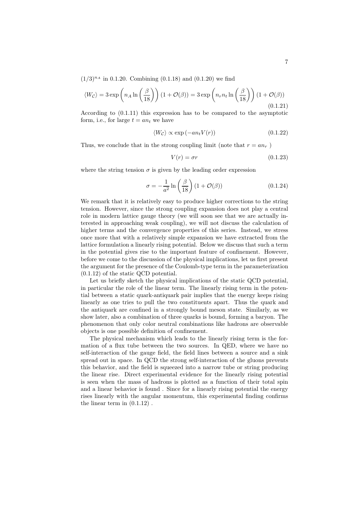$(1/3)^{n_A}$  in 0.1.20. Combining  $(0.1.18)$  and  $(0.1.20)$  we find

$$
\langle W_{\mathcal{C}} \rangle = 3 \exp \left( n_A \ln \left( \frac{\beta}{18} \right) \right) (1 + \mathcal{O}(\beta)) = 3 \exp \left( n_r n_t \ln \left( \frac{\beta}{18} \right) \right) (1 + \mathcal{O}(\beta)) \tag{0.1.21}
$$

According to (0.1.11) this expression has to be compared to the asymptotic form, i.e., for large  $t = an_t$  we have

$$
\langle W_{\mathcal{C}} \rangle \propto \exp(-an_t V(r)) \tag{0.1.22}
$$

Thus, we conclude that in the strong coupling limit (note that  $r = a n_r$ )

$$
V(r) = \sigma r \tag{0.1.23}
$$

where the string tension  $\sigma$  is given by the leading order expression

$$
\sigma = -\frac{1}{a^2} \ln\left(\frac{\beta}{18}\right) (1 + \mathcal{O}(\beta))
$$
\n(0.1.24)

We remark that it is relatively easy to produce higher corrections to the string tension. However, since the strong coupling expansion does not play a central role in modern lattice gauge theory (we will soon see that we are actually interested in approaching weak coupling), we will not discuss the calculation of higher terms and the convergence properties of this series. Instead, we stress once more that with a relatively simple expansion we have extracted from the lattice formulation a linearly rising potential. Below we discuss that such a term in the potential gives rise to the important feature of confinement. However, before we come to the discussion of the physical implications, let us first present the argument for the presence of the Coulomb-type term in the parameterization (0.1.12) of the static QCD potential.

Let us briefly sketch the physical implications of the static QCD potential, in particular the role of the linear term. The linearly rising term in the potential between a static quark-antiquark pair implies that the energy keeps rising linearly as one tries to pull the two constituents apart. Thus the quark and the antiquark are confined in a strongly bound meson state. Similarly, as we show later, also a combination of three quarks is bound, forming a baryon. The phenomenon that only color neutral combinations like hadrons are observable objects is one possible definition of confinement.

The physical mechanism which leads to the linearly rising term is the formation of a flux tube between the two sources. In QED, where we have no self-interaction of the gauge field, the field lines between a source and a sink spread out in space. In QCD the strong self-interaction of the gluons prevents this behavior, and the field is squeezed into a narrow tube or string producing the linear rise. Direct experimental evidence for the linearly rising potential is seen when the mass of hadrons is plotted as a function of their total spin and a linear behavior is found . Since for a linearly rising potential the energy rises linearly with the angular momentum, this experimental finding confirms the linear term in  $(0.1.12)$ .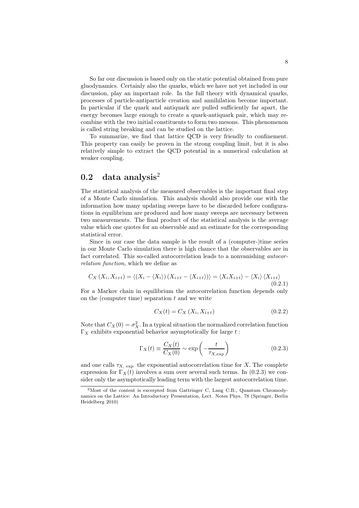So far our discussion is based only on the static potential obtained from pure gluodynamics. Certainly also the quarks, which we have not yet included in our discussion, play an important role. In the full theory with dynamical quarks, processes of particle-antiparticle creation and annihilation become important. In particular if the quark and antiquark are pulled sufficiently far apart, the energy becomes large enough to create a quark-antiquark pair, which may recombine with the two initial constituents to form two mesons. This phenomenon is called string breaking and can be studied on the lattice.

To summarize, we find that lattice QCD is very friendly to confinement. This property can easily be proven in the strong coupling limit, but it is also relatively simple to extract the QCD potential in a numerical calculation at weaker coupling.

## 0.2 data analysis<sup>2</sup>

The statistical analysis of the measured observables is the important final step of a Monte Carlo simulation. This analysis should also provide one with the information how many updating sweeps have to be discarded before configurations in equilibrium are produced and how many sweeps are necessary between two measurements. The final product of the statistical analysis is the average value which one quotes for an observable and an estimate for the corresponding statistical error.

Since in our case the data sample is the result of a (computer-)time series in our Monte Carlo simulation there is high chance that the observables are in fact correlated. This so-called autocorrelation leads to a nonvanishing autocorrelation function, which we define as

$$
C_X(X_i, X_{i+t}) = \langle (X_i - \langle X_i \rangle) (X_{i+t} - \langle X_{i+t} \rangle) \rangle = \langle X_i X_{i+t} \rangle - \langle X_i \rangle \langle X_{i+t} \rangle
$$
\n(0.2.1)

For a Markov chain in equilibrium the autocorrelation function depends only on the (computer time) separation  $t$  and we write

$$
C_X(t) = C_X\left(X_i, X_{i+t}\right) \tag{0.2.2}
$$

Note that  $C_X(0) = \sigma_X^2$ . In a typical situation the normalized correlation function  $\Gamma_X$  exhibits exponential behavior asymptotically for large t:

$$
\Gamma_X(t) \equiv \frac{C_X(t)}{C_X(0)} \sim \exp\left(-\frac{t}{\tau_{X,\exp}}\right) \tag{0.2.3}
$$

and one calls  $\tau_{X, \text{ exp }}$  the exponential autocorrelation time for X. The complete expression for  $\Gamma_X(t)$  involves a sum over several such terms. In (0.2.3) we consider only the asymptotically leading term with the largest autocorrelation time.

<sup>&</sup>lt;sup>2</sup>Most of the content is excerpted from Gattringer C, Lang C.B., Quantum Chromodynamics on the Lattice: An Introductory Presentation, Lect. Notes Phys. 78 (Springer, Berlin Heidelberg 2010)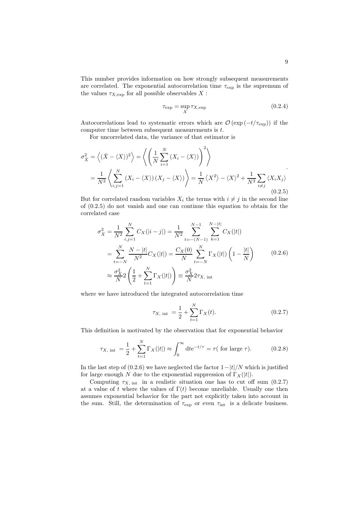This number provides information on how strongly subsequent measurements are correlated. The exponential autocorrelation time  $\tau_{\text{exp}}$  is the supremum of the values  $\tau_{X,\exp}$  for all possible observables X :

$$
\tau_{\exp} = \sup_{X} \tau_{X,\exp} \tag{0.2.4}
$$

Autocorrelations lead to systematic errors which are  $\mathcal{O}(\exp(-t/\tau_{\exp}))$  if the computer time between subsequent measurements is t.

For uncorrelated data, the variance of that estimator is

$$
\sigma_{\hat{X}}^2 = \left\langle (\hat{X} - \langle X \rangle)^2 \right\rangle = \left\langle \left( \frac{1}{N} \sum_{i=1}^N (X_i - \langle X \rangle)^2 \right)^2 \right\rangle
$$
  
=  $\frac{1}{N^2} \left\langle \sum_{i,j=1}^N (X_i - \langle X \rangle) (X_j - \langle X \rangle)^2 \right\rangle = \frac{1}{N} \left\langle X^2 \right\rangle - \left\langle X \right\rangle^2 + \frac{1}{N^2} \sum_{i \neq j} \left\langle X_i X_j \right\rangle$  (0.2.5)

But for correlated random variables  $X_i$  the terms with  $i \neq j$  in the second line of (0.2.5) do not vanish and one can continue this equation to obtain for the correlated case

$$
\sigma_{\hat{X}}^2 = \frac{1}{N^2} \sum_{i,j=1}^N C_X(|i-j|) = \frac{1}{N^2} \sum_{t=-(N-1)}^{N-1} \sum_{k=1}^{N-|t|} C_X(|t|)
$$
  
= 
$$
\sum_{t=-N}^N \frac{N-|t|}{N^2} C_X(|t|) = \frac{C_X(0)}{N} \sum_{t=-N}^N \Gamma_X(|t|) \left(1 - \frac{|t|}{N}\right)
$$
 (0.2.6)  

$$
\approx \frac{\sigma_X^2}{N^2} \left(\frac{1}{2} + \sum_{t=1}^N \Gamma_X(|t|)\right) \equiv \frac{\sigma_X^2}{N^2} 2\tau_{X, \text{ int}}
$$

where we have introduced the integrated autocorrelation time

$$
\tau_{X, \text{ int }} = \frac{1}{2} + \sum_{t=1}^{N} \Gamma_X(t). \tag{0.2.7}
$$

This definition is motivated by the observation that for exponential behavior

$$
\tau_{X, \text{ int }} = \frac{1}{2} + \sum_{t=1}^{N} \Gamma_X(|t|) \approx \int_0^{\infty} dt e^{-t/\tau} = \tau(\text{ for large } \tau). \tag{0.2.8}
$$

In the last step of (0.2.6) we have neglected the factor  $1-|t|/N$  which is justified for large enough N due to the exponential suppression of  $\Gamma_X(|t|)$ .

Computing  $\tau_{X, \text{int}}$  in a realistic situation one has to cut off sum (0.2.7) at a value of t where the values of  $\Gamma(t)$  become unreliable. Usually one then assumes exponential behavior for the part not explicitly taken into account in the sum. Still, the determination of  $\tau_{\exp}$  or even  $\tau_{\text{int}}$  is a delicate business.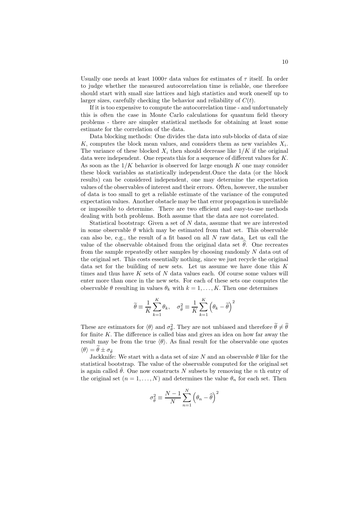Usually one needs at least  $1000\tau$  data values for estimates of  $\tau$  itself. In order to judge whether the measured autocorrelation time is reliable, one therefore should start with small size lattices and high statistics and work oneself up to larger sizes, carefully checking the behavior and reliability of  $C(t)$ .

If it is too expensive to compute the autocorrelation time - and unfortunately this is often the case in Monte Carlo calculations for quantum field theory problems - there are simpler statistical methods for obtaining at least some estimate for the correlation of the data.

Data blocking methods: One divides the data into sub-blocks of data of size K, computes the block mean values, and considers them as new variables  $X_i$ . The variance of these blocked  $X_i$  then should decrease like  $1/K$  if the original data were independent. One repeats this for a sequence of different values for K. As soon as the  $1/K$  behavior is observed for large enough K one may consider these block variables as statistically independent.Once the data (or the block results) can be considered independent, one may determine the expectation values of the observables of interest and their errors. Often, however, the number of data is too small to get a reliable estimate of the variance of the computed expectation values. Another obstacle may be that error propagation is unreliable or impossible to determine. There are two efficient and easy-to-use methods dealing with both problems. Both assume that the data are not correlated.

Statistical bootstrap: Given a set of N data, assume that we are interested in some observable  $\theta$  which may be estimated from that set. This observable can also be, e.g., the result of a fit based on all N raw data. Let us call the value of the observable obtained from the original data set  $\theta$ . One recreates from the sample repeatedly other samples by choosing randomly N data out of the original set. This costs essentially nothing, since we just recycle the original data set for the building of new sets. Let us assume we have done this  $K$ times and thus have  $K$  sets of  $N$  data values each. Of course some values will enter more than once in the new sets. For each of these sets one computes the observable  $\theta$  resulting in values  $\theta_k$  with  $k = 1, ..., K$ . Then one determines

$$
\widetilde{\theta} \equiv \frac{1}{K} \sum_{k=1}^{K} \theta_k, \quad \sigma_{\widetilde{\theta}}^2 \equiv \frac{1}{K} \sum_{k=1}^{K} (\theta_k - \widetilde{\theta})^2
$$

These are estimators for  $\langle \theta \rangle$  and  $\sigma_{\theta}^2$ . They are not unbiased and therefore  $\theta \neq \theta$ for finite K. The difference is called bias and gives an idea on how far away the result may be from the true  $\langle \theta \rangle$ . As final result for the observable one quotes  $\langle \theta \rangle = \widetilde{\theta} \pm \sigma_{\widetilde{\theta}}$ 

Jackknife: We start with a data set of size N and an observable  $\theta$  like for the statistical bootstrap. The value of the observable computed for the original set is again called  $\hat{\theta}$ . One now constructs N subsets by removing the n th entry of the original set  $(n = 1, ..., N)$  and determines the value  $\theta_n$  for each set. Then

$$
\sigma_{\widehat{\theta}}^2 \equiv \frac{N-1}{N} \sum_{n=1}^N \left(\theta_n - \widehat{\theta}\right)^2
$$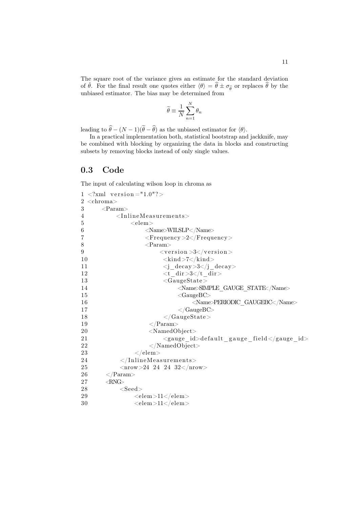The square root of the variance gives an estimate for the standard deviation of  $\hat{\theta}$ . For the final result one quotes either  $\langle \theta \rangle = \hat{\theta} \pm \sigma_{\hat{\theta}}$  or replaces  $\hat{\theta}$  by the unbiased estimator. The bias may be determined from

$$
\widetilde{\theta} \equiv \frac{1}{N} \sum_{n=1}^{N} \theta_n
$$

leading to  $\hat{\theta} - (N - 1)(\tilde{\theta} - \hat{\theta})$  as the unbiased estimator for  $\langle \theta \rangle$ .

In a practical implementation both, statistical bootstrap and jackknife, may be combined with blocking by organizing the data in blocks and constructing subsets by removing blocks instead of only single values.

## 0.3 Code

The input of calculating wilson loop in chroma as

|         | $1 < ?xml$ version="1.0"?>                                              |
|---------|-------------------------------------------------------------------------|
|         | $2 \text{ $                                                             |
| 3       | $<$ Param $>$                                                           |
| 4       | $<$ InlineMeasurements $>$                                              |
| $\bf 5$ | $<$ elem $>$                                                            |
| 6       | $\langle$ Name $\rangle$ WILSLP $\langle$ /Name $\rangle$               |
| 7       | $<$ Frequency>2 $<$ /Frequency>                                         |
| 8       | $\langle$ Param $\rangle$                                               |
| 9       | $<$ version >3 $<$ /version >                                           |
| 10      | $\langle$ kind $>7\langle$ kind $>$                                     |
| 11      | $\langle j \rangle$ decay>3 $\langle j \rangle$ decay>                  |
| 12      | $<$ t dir $>3$ $<$ /t dir $>$                                           |
| 13      | $<$ GaugeState>                                                         |
| 14      | $\langle$ Name $\rangle$ SIMPLE GAUGE STATE $\langle$ /Name $\rangle$   |
| 15      | $\langle$ GaugeBC $\rangle$                                             |
| 16      | $\langle$ Name>PERIODIC GAUGEBC $\langle$ /Name>                        |
| 17      | $\langle$ GaugeBC $>$                                                   |
| 18      | $\langle$ GaugeState>                                                   |
| 19      | $\langle$ /Param>                                                       |
| 20      | <namedobject></namedobject>                                             |
| 21      | $\leq$ gauge_id>default_gauge_field $\leq$ gauge_id>                    |
| 22      | $\langle$ NamedObject>                                                  |
| 23      | $\langle$ elem $>$                                                      |
| 24      | $\mathopen{<}/\mathopen{InlineMeasurements}\mathclose{>}$               |
| 25      | $\langle {\rm nrow} \rangle 24$ 24 24 32 $\langle / {\rm nrow} \rangle$ |
| 26      | $\langle$ Param>                                                        |
| 27      | $\langle RNG \rangle$                                                   |
| 28      | $<$ Seed $>$                                                            |
| 29      | <elem>11</elem>                                                         |
| 30      | <elem>11</elem>                                                         |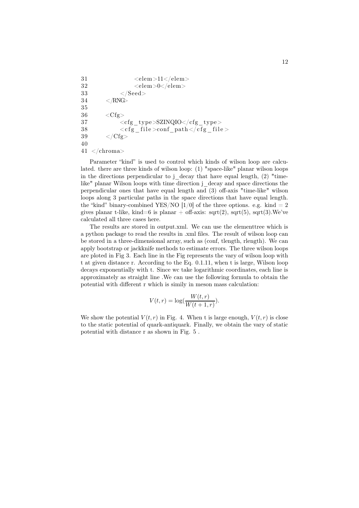| 31 | $<$ elem $>$ 11/elem>                                                       |
|----|-----------------------------------------------------------------------------|
| 32 | <elem>0</elem>                                                              |
| 33 | $\langle$ /Seed $>$                                                         |
| 34 | $\langle RNG \rangle$                                                       |
| 35 |                                                                             |
| 36 | $\rm <\!\rm Cfg\!\!>$                                                       |
| 37 | $\langle cfg \text{ type}\rangle$ SZINQIO $\langle cfg \text{ type}\rangle$ |
| 38 | <cfg file="">conf path</cfg>                                                |
| 39 | $\langle$ /Cfg $>$                                                          |
| 40 |                                                                             |
|    |                                                                             |

41 </chroma>

Parameter "kind" is used to control which kinds of wilson loop are calculated. there are three kinds of wilson loop: (1) "space-like" planar wilson loops in the directions perpendicular to j\_decay that have equal length,  $(2)$  "timelike" planar Wilson loops with time direction j\_decay and space directions the perpendicular ones that have equal length and (3) off-axis "time-like" wilson loops along 3 particular paths in the space directions that have equal length. the "kind" binary-combined YES/NO [1/0] of the three options. e.g. kind  $= 2$ gives planar t-like, kind=6 is planar + off-axis: sqrt(2), sqrt(5), sqrt(3).We've calculated all three cases here.

The results are stored in output.xml. We can use the elementtree which is a python package to read the results in .xml files. The result of wilson loop can be stored in a three-dimensional array, such as (conf, tlength, rlength). We can apply bootstrap or jackknife methods to estimate errors. The three wilson loops are ploted in Fig 3. Each line in the Fig represents the vary of wilson loop with t at given distance r. According to the Eq. 0.1.11, when t is large, Wilson loop decays exponentially with t. Since wc take logarithmic coordinates, each line is approximately as straight line .We can use the following formula to obtain the potential with different r which is simily in meson mass calculation:

$$
V(t,r) = \log(\frac{W(t,r)}{W(t+1,r)}).
$$

We show the potential  $V(t, r)$  in Fig. 4. When t is large enough,  $V(t, r)$  is close to the static potential of quark-antiquark. Finally, we obtain the vary of static potential with distance r as shown in Fig. 5 .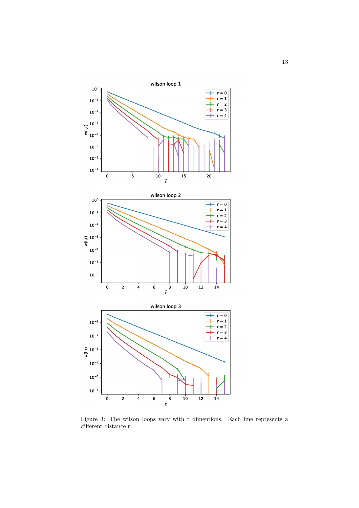

Figure 3: The wilson loops vary with t dimentions. Each line represents a different distance r.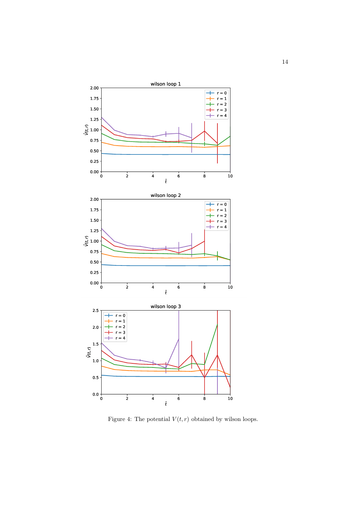

Figure 4: The potential  $V(t,r)$  obtained by wilson loops.